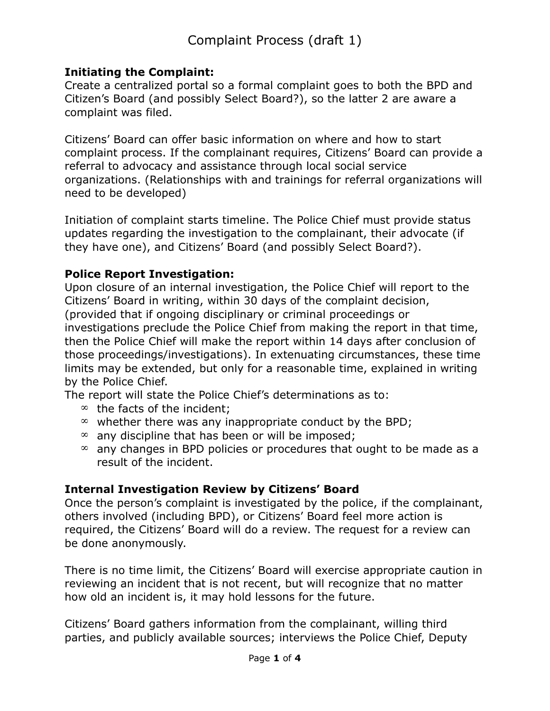# **Initiating the Complaint:**

Create a centralized portal so a formal complaint goes to both the BPD and Citizen's Board (and possibly Select Board?), so the latter 2 are aware a complaint was filed.

Citizens' Board can offer basic information on where and how to start complaint process. If the complainant requires, Citizens' Board can provide a referral to advocacy and assistance through local social service organizations. (Relationships with and trainings for referral organizations will need to be developed)

Initiation of complaint starts timeline. The Police Chief must provide status updates regarding the investigation to the complainant, their advocate (if they have one), and Citizens' Board (and possibly Select Board?).

# **Police Report Investigation:**

Upon closure of an internal investigation, the Police Chief will report to the Citizens' Board in writing, within 30 days of the complaint decision, (provided that if ongoing disciplinary or criminal proceedings or investigations preclude the Police Chief from making the report in that time, then the Police Chief will make the report within 14 days after conclusion of those proceedings/investigations). In extenuating circumstances, these time limits may be extended, but only for a reasonable time, explained in writing by the Police Chief.

The report will state the Police Chief's determinations as to:

- $\infty$  the facts of the incident;
- $\infty$  whether there was any inappropriate conduct by the BPD;
- $\infty$  any discipline that has been or will be imposed;
- $\infty$  any changes in BPD policies or procedures that ought to be made as a result of the incident.

# **Internal Investigation Review by Citizens' Board**

Once the person's complaint is investigated by the police, if the complainant, others involved (including BPD), or Citizens' Board feel more action is required, the Citizens' Board will do a review. The request for a review can be done anonymously.

There is no time limit, the Citizens' Board will exercise appropriate caution in reviewing an incident that is not recent, but will recognize that no matter how old an incident is, it may hold lessons for the future.

Citizens' Board gathers information from the complainant, willing third parties, and publicly available sources; interviews the Police Chief, Deputy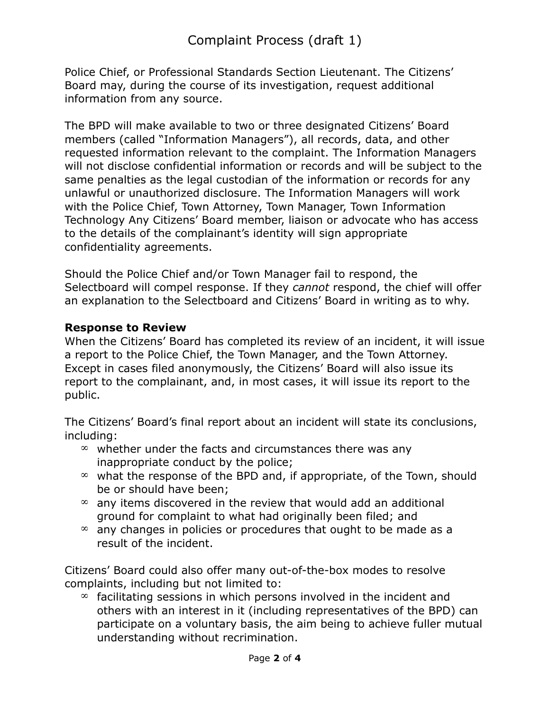Police Chief, or Professional Standards Section Lieutenant. The Citizens' Board may, during the course of its investigation, request additional information from any source.

The BPD will make available to two or three designated Citizens' Board members (called "Information Managers"), all records, data, and other requested information relevant to the complaint. The Information Managers will not disclose confidential information or records and will be subject to the same penalties as the legal custodian of the information or records for any unlawful or unauthorized disclosure. The Information Managers will work with the Police Chief, Town Attorney, Town Manager, Town Information Technology Any Citizens' Board member, liaison or advocate who has access to the details of the complainant's identity will sign appropriate confidentiality agreements.

Should the Police Chief and/or Town Manager fail to respond, the Selectboard will compel response. If they *cannot* respond, the chief will offer an explanation to the Selectboard and Citizens' Board in writing as to why.

#### **Response to Review**

When the Citizens' Board has completed its review of an incident, it will issue a report to the Police Chief, the Town Manager, and the Town Attorney. Except in cases filed anonymously, the Citizens' Board will also issue its report to the complainant, and, in most cases, it will issue its report to the public.

The Citizens' Board's final report about an incident will state its conclusions, including:

- $\infty$  whether under the facts and circumstances there was any inappropriate conduct by the police;
- $\infty$  what the response of the BPD and, if appropriate, of the Town, should be or should have been;
- $\infty$  any items discovered in the review that would add an additional ground for complaint to what had originally been filed; and
- $\infty$  any changes in policies or procedures that ought to be made as a result of the incident.

Citizens' Board could also offer many out-of-the-box modes to resolve complaints, including but not limited to:

 $\infty$  facilitating sessions in which persons involved in the incident and others with an interest in it (including representatives of the BPD) can participate on a voluntary basis, the aim being to achieve fuller mutual understanding without recrimination.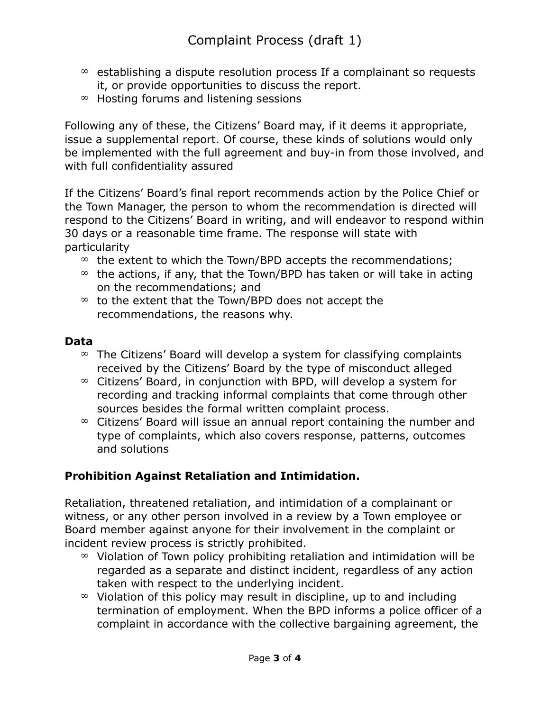- $\infty$  establishing a dispute resolution process If a complainant so requests it, or provide opportunities to discuss the report.
- $*$  Hosting forums and listening sessions

Following any of these, the Citizens' Board may, if it deems it appropriate, issue a supplemental report. Of course, these kinds of solutions would only be implemented with the full agreement and buy-in from those involved, and with full confidentiality assured

If the Citizens' Board's final report recommends action by the Police Chief or the Town Manager, the person to whom the recommendation is directed will respond to the Citizens' Board in writing, and will endeavor to respond within 30 days or a reasonable time frame. The response will state with particularity

- $\infty$  the extent to which the Town/BPD accepts the recommendations;
- $\infty$  the actions, if any, that the Town/BPD has taken or will take in acting on the recommendations; and
- $\infty$  to the extent that the Town/BPD does not accept the recommendations, the reasons why.

#### **Data**

- $\infty$  The Citizens' Board will develop a system for classifying complaints received by the Citizens' Board by the type of misconduct alleged
- $\infty$  Citizens' Board, in conjunction with BPD, will develop a system for recording and tracking informal complaints that come through other sources besides the formal written complaint process.
- $\infty$  Citizens' Board will issue an annual report containing the number and type of complaints, which also covers response, patterns, outcomes and solutions

# **Prohibition Against Retaliation and Intimidation.**

Retaliation, threatened retaliation, and intimidation of a complainant or witness, or any other person involved in a review by a Town employee or Board member against anyone for their involvement in the complaint or incident review process is strictly prohibited.

- $\infty$  Violation of Town policy prohibiting retaliation and intimidation will be regarded as a separate and distinct incident, regardless of any action taken with respect to the underlying incident.
- $\infty$  Violation of this policy may result in discipline, up to and including termination of employment. When the BPD informs a police officer of a complaint in accordance with the collective bargaining agreement, the